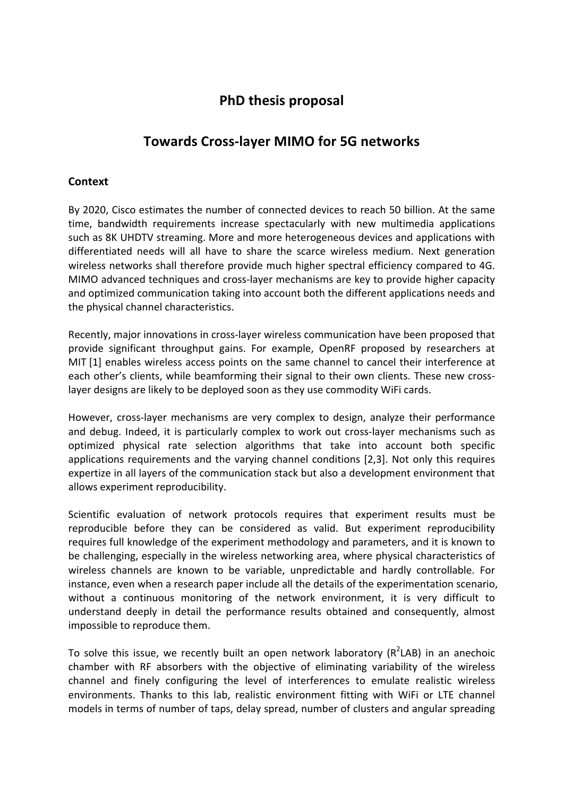# **PhD thesis proposal**

# **Towards Cross-layer MIMO for 5G networks**

## **Context**

By 2020, Cisco estimates the number of connected devices to reach 50 billion. At the same time, bandwidth requirements increase spectacularly with new multimedia applications such as 8K UHDTV streaming. More and more heterogeneous devices and applications with differentiated needs will all have to share the scarce wireless medium. Next generation wireless networks shall therefore provide much higher spectral efficiency compared to 4G. MIMO advanced techniques and cross-layer mechanisms are key to provide higher capacity and optimized communication taking into account both the different applications needs and the physical channel characteristics.

Recently, major innovations in cross-layer wireless communication have been proposed that provide significant throughput gains. For example, OpenRF proposed by researchers at MIT [1] enables wireless access points on the same channel to cancel their interference at each other's clients, while beamforming their signal to their own clients. These new crosslayer designs are likely to be deployed soon as they use commodity WiFi cards.

However, cross-layer mechanisms are very complex to design, analyze their performance and debug. Indeed, it is particularly complex to work out cross-layer mechanisms such as optimized physical rate selection algorithms that take into account both specific applications requirements and the varying channel conditions [2,3]. Not only this requires expertize in all layers of the communication stack but also a development environment that allows experiment reproducibility.

Scientific evaluation of network protocols requires that experiment results must be reproducible before they can be considered as valid. But experiment reproducibility requires full knowledge of the experiment methodology and parameters, and it is known to be challenging, especially in the wireless networking area, where physical characteristics of wireless channels are known to be variable, unpredictable and hardly controllable. For instance, even when a research paper include all the details of the experimentation scenario, without a continuous monitoring of the network environment, it is very difficult to understand deeply in detail the performance results obtained and consequently, almost impossible to reproduce them.

To solve this issue, we recently built an open network laboratory ( $R^2$ LAB) in an anechoic chamber with RF absorbers with the objective of eliminating variability of the wireless channel and finely configuring the level of interferences to emulate realistic wireless environments. Thanks to this lab, realistic environment fitting with WiFi or LTE channel models in terms of number of taps, delay spread, number of clusters and angular spreading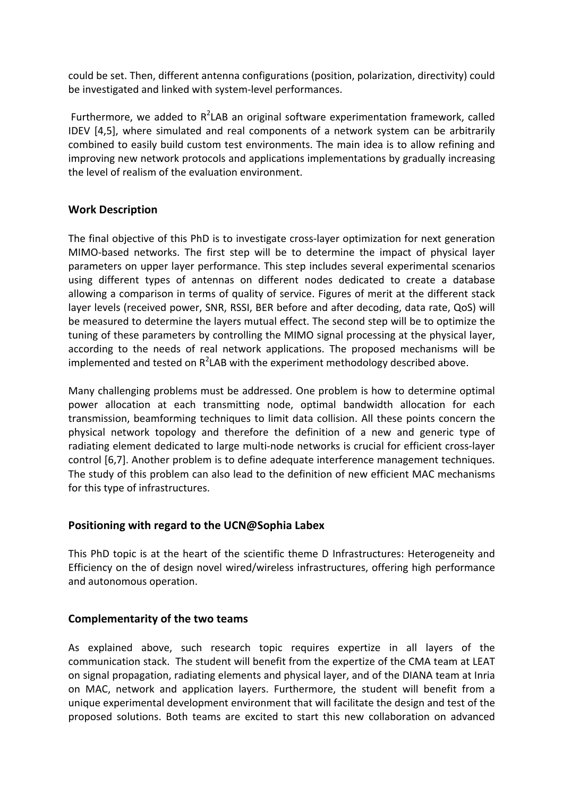could be set. Then, different antenna configurations (position, polarization, directivity) could be investigated and linked with system-level performances.

Furthermore, we added to  $R^2$ LAB an original software experimentation framework, called IDEV [4,5], where simulated and real components of a network system can be arbitrarily combined to easily build custom test environments. The main idea is to allow refining and improving new network protocols and applications implementations by gradually increasing the level of realism of the evaluation environment.

## **Work Description**

The final objective of this PhD is to investigate cross-layer optimization for next generation MIMO-based networks. The first step will be to determine the impact of physical layer parameters on upper layer performance. This step includes several experimental scenarios using different types of antennas on different nodes dedicated to create a database allowing a comparison in terms of quality of service. Figures of merit at the different stack layer levels (received power, SNR, RSSI, BER before and after decoding, data rate, QoS) will be measured to determine the layers mutual effect. The second step will be to optimize the tuning of these parameters by controlling the MIMO signal processing at the physical layer, according to the needs of real network applications. The proposed mechanisms will be implemented and tested on  $R^2$ LAB with the experiment methodology described above.

Many challenging problems must be addressed. One problem is how to determine optimal power allocation at each transmitting node, optimal bandwidth allocation for each transmission, beamforming techniques to limit data collision. All these points concern the physical network topology and therefore the definition of a new and generic type of radiating element dedicated to large multi-node networks is crucial for efficient cross-layer control [6,7]. Another problem is to define adequate interference management techniques. The study of this problem can also lead to the definition of new efficient MAC mechanisms for this type of infrastructures.

### **Positioning with regard to the UCN@Sophia Labex**

This PhD topic is at the heart of the scientific theme D Infrastructures: Heterogeneity and Efficiency on the of design novel wired/wireless infrastructures, offering high performance and autonomous operation.

## **Complementarity of the two teams**

As explained above, such research topic requires expertize in all layers of the communication stack. The student will benefit from the expertize of the CMA team at LEAT on signal propagation, radiating elements and physical layer, and of the DIANA team at Inria on MAC, network and application layers. Furthermore, the student will benefit from a unique experimental development environment that will facilitate the design and test of the proposed solutions. Both teams are excited to start this new collaboration on advanced